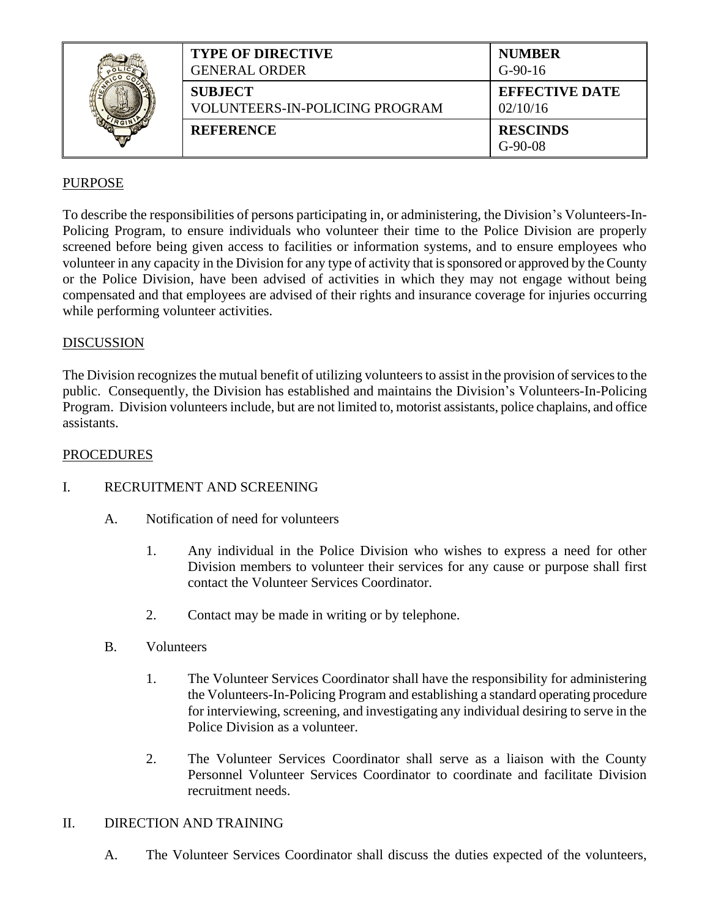|  | <b>TYPE OF DIRECTIVE</b><br><b>GENERAL ORDER</b> | <b>NUMBER</b><br>$G-90-16$        |
|--|--------------------------------------------------|-----------------------------------|
|  | <b>SUBJECT</b><br>VOLUNTEERS-IN-POLICING PROGRAM | <b>EFFECTIVE DATE</b><br>02/10/16 |
|  | <b>REFERENCE</b>                                 | <b>RESCINDS</b><br>$G-90-08$      |

# PURPOSE

To describe the responsibilities of persons participating in, or administering, the Division's Volunteers-In-Policing Program, to ensure individuals who volunteer their time to the Police Division are properly screened before being given access to facilities or information systems, and to ensure employees who volunteer in any capacity in the Division for any type of activity that is sponsored or approved by the County or the Police Division, have been advised of activities in which they may not engage without being compensated and that employees are advised of their rights and insurance coverage for injuries occurring while performing volunteer activities.

#### **DISCUSSION**

The Division recognizes the mutual benefit of utilizing volunteers to assist in the provision of services to the public. Consequently, the Division has established and maintains the Division's Volunteers-In-Policing Program. Division volunteers include, but are not limited to, motorist assistants, police chaplains, and office assistants.

### PROCEDURES

## I. RECRUITMENT AND SCREENING

- A. Notification of need for volunteers
	- 1. Any individual in the Police Division who wishes to express a need for other Division members to volunteer their services for any cause or purpose shall first contact the Volunteer Services Coordinator.
	- 2. Contact may be made in writing or by telephone.
- B. Volunteers
	- 1. The Volunteer Services Coordinator shall have the responsibility for administering the Volunteers-In-Policing Program and establishing a standard operating procedure for interviewing, screening, and investigating any individual desiring to serve in the Police Division as a volunteer.
	- 2. The Volunteer Services Coordinator shall serve as a liaison with the County Personnel Volunteer Services Coordinator to coordinate and facilitate Division recruitment needs.

#### II. DIRECTION AND TRAINING

A. The Volunteer Services Coordinator shall discuss the duties expected of the volunteers,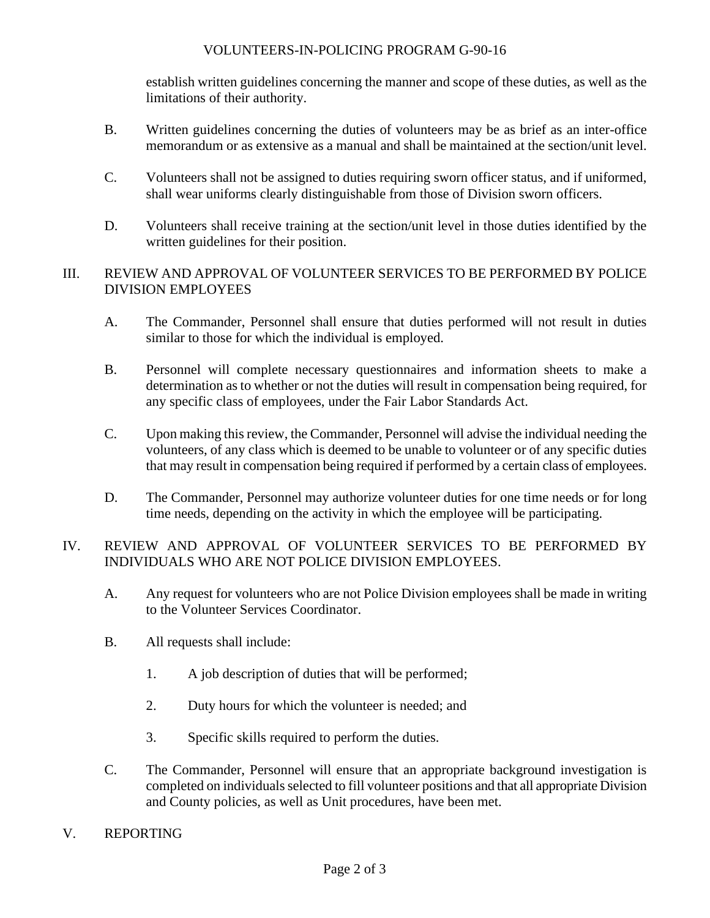### VOLUNTEERS-IN-POLICING PROGRAM G-90-16

establish written guidelines concerning the manner and scope of these duties, as well as the limitations of their authority.

- B. Written guidelines concerning the duties of volunteers may be as brief as an inter-office memorandum or as extensive as a manual and shall be maintained at the section/unit level.
- C. Volunteers shall not be assigned to duties requiring sworn officer status, and if uniformed, shall wear uniforms clearly distinguishable from those of Division sworn officers.
- D. Volunteers shall receive training at the section/unit level in those duties identified by the written guidelines for their position.

## III. REVIEW AND APPROVAL OF VOLUNTEER SERVICES TO BE PERFORMED BY POLICE DIVISION EMPLOYEES

- A. The Commander, Personnel shall ensure that duties performed will not result in duties similar to those for which the individual is employed.
- B. Personnel will complete necessary questionnaires and information sheets to make a determination as to whether or not the duties will result in compensation being required, for any specific class of employees, under the Fair Labor Standards Act.
- C. Upon making this review, the Commander, Personnel will advise the individual needing the volunteers, of any class which is deemed to be unable to volunteer or of any specific duties that may result in compensation being required if performed by a certain class of employees.
- D. The Commander, Personnel may authorize volunteer duties for one time needs or for long time needs, depending on the activity in which the employee will be participating.

# IV. REVIEW AND APPROVAL OF VOLUNTEER SERVICES TO BE PERFORMED BY INDIVIDUALS WHO ARE NOT POLICE DIVISION EMPLOYEES.

- A. Any request for volunteers who are not Police Division employees shall be made in writing to the Volunteer Services Coordinator.
- B. All requests shall include:
	- 1. A job description of duties that will be performed;
	- 2. Duty hours for which the volunteer is needed; and
	- 3. Specific skills required to perform the duties.
- C. The Commander, Personnel will ensure that an appropriate background investigation is completed on individuals selected to fill volunteer positions and that all appropriate Division and County policies, as well as Unit procedures, have been met.
- V. REPORTING